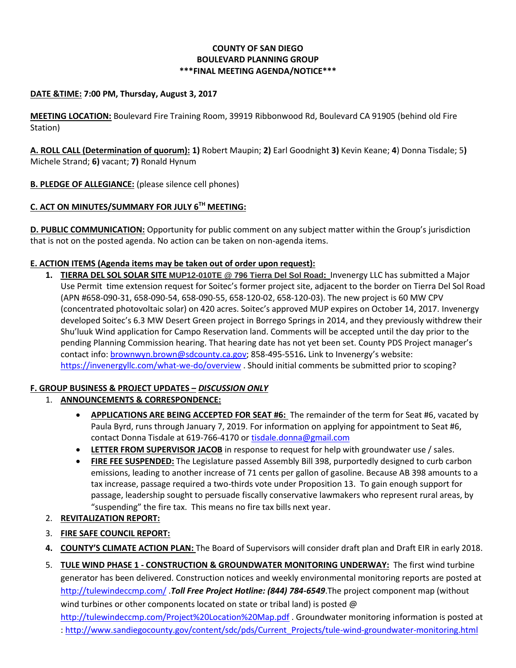## **COUNTY OF SAN DIEGO BOULEVARD PLANNING GROUP \*\*\*FINAL MEETING AGENDA/NOTICE\*\*\***

#### **DATE &TIME: 7:00 PM, Thursday, August 3, 2017**

**MEETING LOCATION:** Boulevard Fire Training Room, 39919 Ribbonwood Rd, Boulevard CA 91905 (behind old Fire Station)

**A. ROLL CALL (Determination of quorum): 1)** Robert Maupin; **2)** Earl Goodnight **3)** Kevin Keane; **4**) Donna Tisdale; 5**)**  Michele Strand; **6)** vacant; **7)** Ronald Hynum

**B. PLEDGE OF ALLEGIANCE:** (please silence cell phones)

# **C. ACT ON MINUTES/SUMMARY FOR JULY 6TH MEETING:**

**D. PUBLIC COMMUNICATION:** Opportunity for public comment on any subject matter within the Group's jurisdiction that is not on the posted agenda. No action can be taken on non-agenda items.

## **E. ACTION ITEMS (Agenda items may be taken out of order upon request):**

**1. TIERRA DEL SOL SOLAR SITE MUP12-010TE @ 796 Tierra Del Sol Road:** Invenergy LLC has submitted a Major Use Permit time extension request for Soitec's former project site, adjacent to the border on Tierra Del Sol Road (APN #658-090-31, 658-090-54, 658-090-55, 658-120-02, 658-120-03). The new project is 60 MW CPV (concentrated photovoltaic solar) on 420 acres. Soitec's approved MUP expires on October 14, 2017. Invenergy developed Soitec's 6.3 MW Desert Green project in Borrego Springs in 2014, and they previously withdrew their Shu'luuk Wind application for Campo Reservation land. Comments will be accepted until the day prior to the pending Planning Commission hearing. That hearing date has not yet been set. County PDS Project manager's contact info: [brownwyn.brown@sdcounty.ca.gov;](mailto:brownwyn.brown@sdcounty.ca.gov) 858-495-5516**.** Link to Invenergy's website: <https://invenergyllc.com/what-we-do/overview> . Should initial comments be submitted prior to scoping?

## **F. GROUP BUSINESS & PROJECT UPDATES –** *DISCUSSION ONLY*

## 1. **ANNOUNCEMENTS & CORRESPONDENCE:**

- **APPLICATIONS ARE BEING ACCEPTED FOR SEAT #6:** The remainder of the term for Seat #6, vacated by Paula Byrd, runs through January 7, 2019. For information on applying for appointment to Seat #6, contact Donna Tisdale at 619-766-4170 or [tisdale.donna@gmail.com](mailto:tisdale.donna@gmail.com)
- **LETTER FROM SUPERVISOR JACOB** in response to request for help with groundwater use / sales.
- **FIRE FEE SUSPENDED:** The Legislature passed Assembly Bill 398, purportedly designed to curb carbon emissions, leading to another increase of 71 cents per gallon of gasoline. Because AB 398 amounts to a tax increase, passage required a two-thirds vote under Proposition 13. To gain enough support for passage, leadership sought to persuade fiscally conservative lawmakers who represent rural areas, by "suspending" the fire tax. This means no fire tax bills next year.
- 2. **REVITALIZATION REPORT:**
- 3. **FIRE SAFE COUNCIL REPORT:**
- **4. COUNTY'S CLIMATE ACTION PLAN:** The Board of Supervisors will consider draft plan and Draft EIR in early 2018.
- 5. **TULE WIND PHASE 1 - CONSTRUCTION & GROUNDWATER MONITORING UNDERWAY:** The first wind turbine generator has been delivered. Construction notices and weekly environmental monitoring reports are posted at <http://tulewindeccmp.com/> .*Toll Free Project Hotline: (844) 784-6549*.The project component map (without wind turbines or other components located on state or tribal land) is posted @

<http://tulewindeccmp.com/Project%20Location%20Map.pdf> . Groundwater monitoring information is posted at : [http://www.sandiegocounty.gov/content/sdc/pds/Current\\_Projects/tule-wind-groundwater-monitoring.html](http://www.sandiegocounty.gov/content/sdc/pds/Current_Projects/tule-wind-groundwater-monitoring.html)